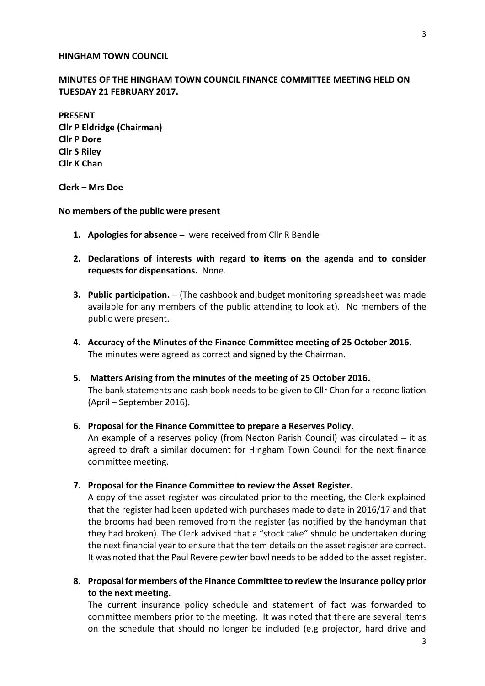## **HINGHAM TOWN COUNCIL**

## **MINUTES OF THE HINGHAM TOWN COUNCIL FINANCE COMMITTEE MEETING HELD ON TUESDAY 21 FEBRUARY 2017.**

**PRESENT Cllr P Eldridge (Chairman) Cllr P Dore Cllr S Riley Cllr K Chan**

**Clerk – Mrs Doe**

**No members of the public were present**

- **1. Apologies for absence –** were received from Cllr R Bendle
- **2. Declarations of interests with regard to items on the agenda and to consider requests for dispensations.** None.
- **3. Public participation. –** (The cashbook and budget monitoring spreadsheet was made available for any members of the public attending to look at). No members of the public were present.
- **4. Accuracy of the Minutes of the Finance Committee meeting of 25 October 2016.** The minutes were agreed as correct and signed by the Chairman.
- **5. Matters Arising from the minutes of the meeting of 25 October 2016.** The bank statements and cash book needs to be given to Cllr Chan for a reconciliation (April – September 2016).
- **6. Proposal for the Finance Committee to prepare a Reserves Policy.**

An example of a reserves policy (from Necton Parish Council) was circulated – it as agreed to draft a similar document for Hingham Town Council for the next finance committee meeting.

**7. Proposal for the Finance Committee to review the Asset Register.**

A copy of the asset register was circulated prior to the meeting, the Clerk explained that the register had been updated with purchases made to date in 2016/17 and that the brooms had been removed from the register (as notified by the handyman that they had broken). The Clerk advised that a "stock take" should be undertaken during the next financial year to ensure that the tem details on the asset register are correct. It was noted that the Paul Revere pewter bowl needs to be added to the asset register.

**8. Proposal for members of the Finance Committee to review the insurance policy prior to the next meeting.**

The current insurance policy schedule and statement of fact was forwarded to committee members prior to the meeting. It was noted that there are several items on the schedule that should no longer be included (e.g projector, hard drive and